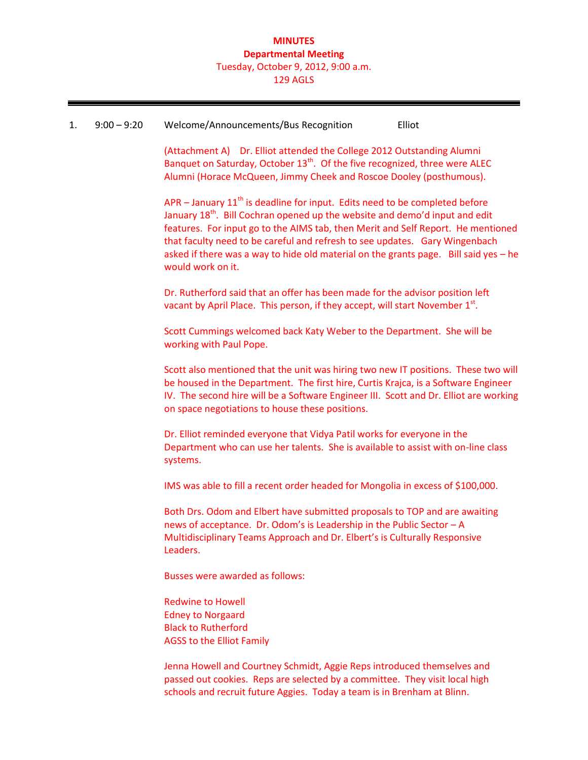### **MINUTES Departmental Meeting** Tuesday, October 9, 2012, 9:00 a.m. 129 AGLS

#### 1. 9:00 – 9:20 Welcome/Announcements/Bus Recognition Elliot

(Attachment A) Dr. Elliot attended the College 2012 Outstanding Alumni Banquet on Saturday, October  $13<sup>th</sup>$ . Of the five recognized, three were ALEC Alumni (Horace McQueen, Jimmy Cheek and Roscoe Dooley (posthumous).

APR – January  $11<sup>th</sup>$  is deadline for input. Edits need to be completed before January 18<sup>th</sup>. Bill Cochran opened up the website and demo'd input and edit features. For input go to the AIMS tab, then Merit and Self Report. He mentioned that faculty need to be careful and refresh to see updates. Gary Wingenbach asked if there was a way to hide old material on the grants page. Bill said yes – he would work on it.

Dr. Rutherford said that an offer has been made for the advisor position left vacant by April Place. This person, if they accept, will start November  $1<sup>st</sup>$ .

Scott Cummings welcomed back Katy Weber to the Department. She will be working with Paul Pope.

Scott also mentioned that the unit was hiring two new IT positions. These two will be housed in the Department. The first hire, Curtis Krajca, is a Software Engineer IV. The second hire will be a Software Engineer III. Scott and Dr. Elliot are working on space negotiations to house these positions.

Dr. Elliot reminded everyone that Vidya Patil works for everyone in the Department who can use her talents. She is available to assist with on-line class systems.

IMS was able to fill a recent order headed for Mongolia in excess of \$100,000.

Both Drs. Odom and Elbert have submitted proposals to TOP and are awaiting news of acceptance. Dr. Odom's is Leadership in the Public Sector – A Multidisciplinary Teams Approach and Dr. Elbert's is Culturally Responsive Leaders.

Busses were awarded as follows:

Redwine to Howell Edney to Norgaard Black to Rutherford AGSS to the Elliot Family

Jenna Howell and Courtney Schmidt, Aggie Reps introduced themselves and passed out cookies. Reps are selected by a committee. They visit local high schools and recruit future Aggies. Today a team is in Brenham at Blinn.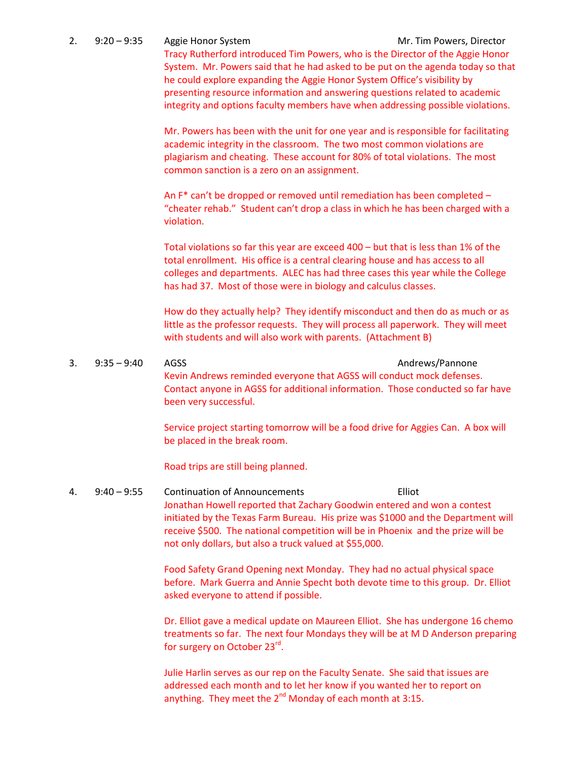2. 9:20 – 9:35 Aggie Honor System Mr. Tim Powers, Director Tracy Rutherford introduced Tim Powers, who is the Director of the Aggie Honor System. Mr. Powers said that he had asked to be put on the agenda today so that he could explore expanding the Aggie Honor System Office's visibility by presenting resource information and answering questions related to academic integrity and options faculty members have when addressing possible violations.

> Mr. Powers has been with the unit for one year and is responsible for facilitating academic integrity in the classroom. The two most common violations are plagiarism and cheating. These account for 80% of total violations. The most common sanction is a zero on an assignment.

> An F\* can't be dropped or removed until remediation has been completed – "cheater rehab." Student can't drop a class in which he has been charged with a violation.

> Total violations so far this year are exceed 400 – but that is less than 1% of the total enrollment. His office is a central clearing house and has access to all colleges and departments. ALEC has had three cases this year while the College has had 37. Most of those were in biology and calculus classes.

> How do they actually help? They identify misconduct and then do as much or as little as the professor requests. They will process all paperwork. They will meet with students and will also work with parents. (Attachment B)

3. 9:35 – 9:40 AGSS Andrews/Pannone Kevin Andrews reminded everyone that AGSS will conduct mock defenses. Contact anyone in AGSS for additional information. Those conducted so far have been very successful.

> Service project starting tomorrow will be a food drive for Aggies Can. A box will be placed in the break room.

Road trips are still being planned.

4. 9:40 – 9:55 Continuation of Announcements Elliot Jonathan Howell reported that Zachary Goodwin entered and won a contest initiated by the Texas Farm Bureau. His prize was \$1000 and the Department will receive \$500. The national competition will be in Phoenix and the prize will be not only dollars, but also a truck valued at \$55,000.

> Food Safety Grand Opening next Monday. They had no actual physical space before. Mark Guerra and Annie Specht both devote time to this group. Dr. Elliot asked everyone to attend if possible.

Dr. Elliot gave a medical update on Maureen Elliot. She has undergone 16 chemo treatments so far. The next four Mondays they will be at M D Anderson preparing for surgery on October 23<sup>rd</sup>.

Julie Harlin serves as our rep on the Faculty Senate. She said that issues are addressed each month and to let her know if you wanted her to report on anything. They meet the  $2^{nd}$  Monday of each month at 3:15.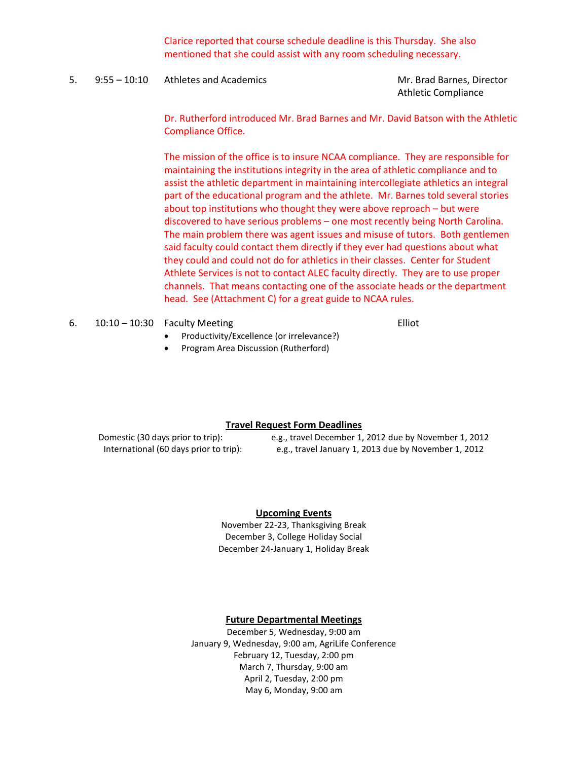Clarice reported that course schedule deadline is this Thursday. She also mentioned that she could assist with any room scheduling necessary.

5. 9:55 – 10:10 Athletes and Academics and Academics Mr. Brad Barnes, Director

Athletic Compliance

Dr. Rutherford introduced Mr. Brad Barnes and Mr. David Batson with the Athletic Compliance Office.

The mission of the office is to insure NCAA compliance. They are responsible for maintaining the institutions integrity in the area of athletic compliance and to assist the athletic department in maintaining intercollegiate athletics an integral part of the educational program and the athlete. Mr. Barnes told several stories about top institutions who thought they were above reproach – but were discovered to have serious problems – one most recently being North Carolina. The main problem there was agent issues and misuse of tutors. Both gentlemen said faculty could contact them directly if they ever had questions about what they could and could not do for athletics in their classes. Center for Student Athlete Services is not to contact ALEC faculty directly. They are to use proper channels. That means contacting one of the associate heads or the department head. See (Attachment C) for a great guide to NCAA rules.

| 6. | $10:10 - 10:30$ Faculty Meeting | Elliot |
|----|---------------------------------|--------|
|    |                                 |        |

- Productivity/Excellence (or irrelevance?)
- Program Area Discussion (Rutherford)

#### **Travel Request Form Deadlines**

Domestic (30 days prior to trip): e.g., travel December 1, 2012 due by November 1, 2012 International (60 days prior to trip): e.g., travel January 1, 2013 due by November 1, 2012

#### **Upcoming Events**

November 22-23, Thanksgiving Break December 3, College Holiday Social December 24-January 1, Holiday Break

#### **Future Departmental Meetings**

December 5, Wednesday, 9:00 am January 9, Wednesday, 9:00 am, AgriLife Conference February 12, Tuesday, 2:00 pm March 7, Thursday, 9:00 am April 2, Tuesday, 2:00 pm May 6, Monday, 9:00 am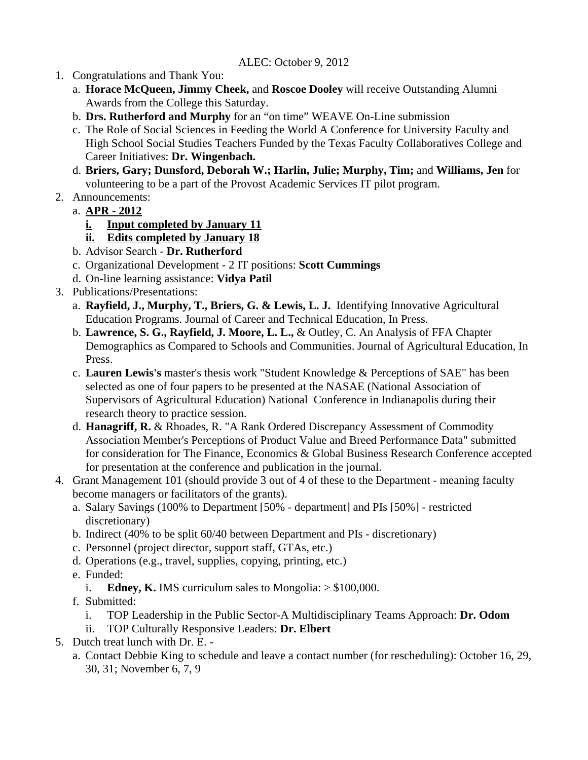## ALEC: October 9, 2012

- 1. Congratulations and Thank You:
	- a. **Horace McQueen, Jimmy Cheek,** and **Roscoe Dooley** will receive Outstanding Alumni Awards from the College this Saturday.
	- b. **Drs. Rutherford and Murphy** for an "on time" WEAVE On-Line submission
	- c. The Role of Social Sciences in Feeding the World A Conference for University Faculty and High School Social Studies Teachers Funded by the Texas Faculty Collaboratives College and Career Initiatives: **Dr. Wingenbach.**
	- d. **Briers, Gary; Dunsford, Deborah W.; Harlin, Julie; Murphy, Tim;** and **Williams, Jen** for volunteering to be a part of the Provost Academic Services IT pilot program.
- 2. Announcements:
	- a. **APR 2012**
		- **i. Input completed by January 11**
		- **ii. Edits completed by January 18**
	- b. Advisor Search **Dr. Rutherford**
	- c. Organizational Development 2 IT positions: **Scott Cummings**
	- d. On-line learning assistance: **Vidya Patil**
- 3. Publications/Presentations:
	- a. **Rayfield, J., Murphy, T., Briers, G. & Lewis, L. J.** Identifying Innovative Agricultural Education Programs. Journal of Career and Technical Education, In Press.
	- b. **Lawrence, S. G., Rayfield, J. Moore, L. L.,** & Outley, C. An Analysis of FFA Chapter Demographics as Compared to Schools and Communities. Journal of Agricultural Education, In Press.
	- c. **Lauren Lewis's** master's thesis work "Student Knowledge & Perceptions of SAE" has been selected as one of four papers to be presented at the NASAE (National Association of Supervisors of Agricultural Education) National Conference in Indianapolis during their research theory to practice session.
	- d. **Hanagriff, R.** & Rhoades, R. "A Rank Ordered Discrepancy Assessment of Commodity Association Member's Perceptions of Product Value and Breed Performance Data" submitted for consideration for The Finance, Economics & Global Business Research Conference accepted for presentation at the conference and publication in the journal.
- 4. Grant Management 101 (should provide 3 out of 4 of these to the Department meaning faculty become managers or facilitators of the grants).
	- a. Salary Savings (100% to Department [50% department] and PIs [50%] restricted discretionary)
	- b. Indirect (40% to be split 60/40 between Department and PIs discretionary)
	- c. Personnel (project director, support staff, GTAs, etc.)
	- d. Operations (e.g., travel, supplies, copying, printing, etc.)
	- e. Funded:
		- i. **Edney, K.** IMS curriculum sales to Mongolia:  $> $100,000$ .
	- f. Submitted:
		- i. TOP Leadership in the Public Sector-A Multidisciplinary Teams Approach: **Dr. Odom**
		- ii. TOP Culturally Responsive Leaders: **Dr. Elbert**
- 5. Dutch treat lunch with Dr. E.
	- a. Contact Debbie King to schedule and leave a contact number (for rescheduling): October 16, 29, 30, 31; November 6, 7, 9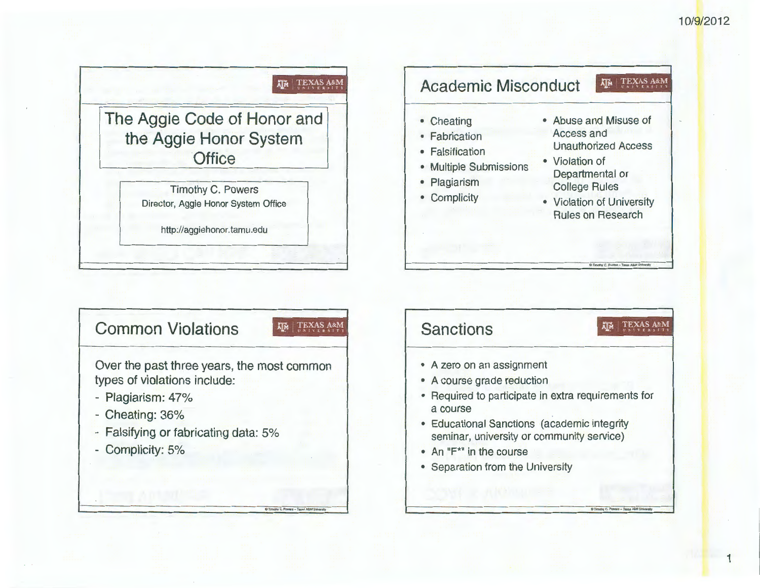**1** 





Over the past three years, the most common types of violations include:

- Plagiarism: 47%
- Cheating: 36%
- Falsifying or fabricating data: 5%
- Complicity: 5%

## **Sanctions**

- A zero on an assignment
- A course grade reduction
- Required to participate in extra requirements for a course

 $\mathsf{M}[\mathsf{M}]$ 

TEXAS A&M

- Educational Sanctions (academic integrity seminar, university or community service)
- An "F\*" in the course
- Separation from the University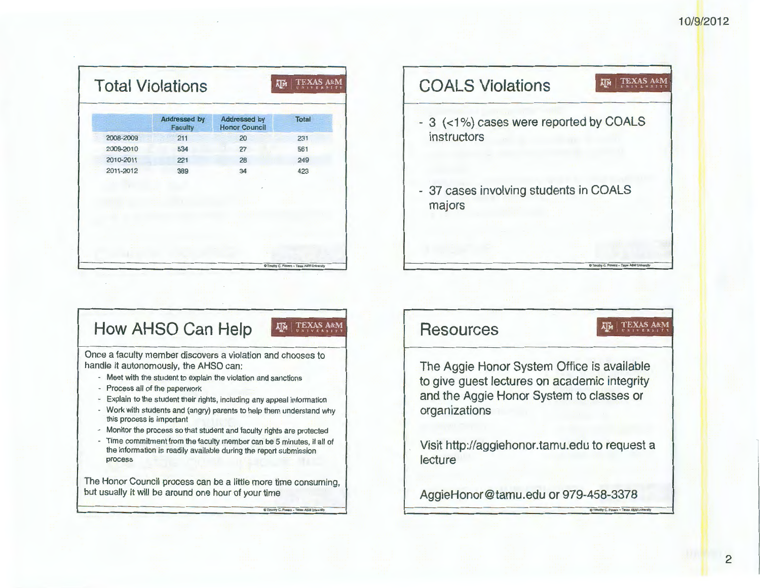| <b>Addressed by</b><br><b>Faculty</b> | <b>Addressed by</b><br><b>Honor Council</b> | <b>Total</b> |
|---------------------------------------|---------------------------------------------|--------------|
| 211                                   | 20                                          | 231          |
| 534                                   | 27                                          | 561          |
| 221                                   | 28                                          | 249          |
| 389                                   | 34                                          | 423          |
|                                       |                                             |              |
|                                       |                                             |              |
|                                       |                                             |              |
|                                       |                                             |              |
|                                       |                                             |              |
|                                       |                                             |              |
|                                       |                                             |              |

**COALS Violations AD.1 TEXAS A&M** - 3 (<1%) cases were reported by COALS instructors

37 cases involving students in COALS majors

## **How AHSO Can Help**

**XIM TEXAS A&M** 

 $Q$  Timothy C. Powers - Texas A&M Unive

Once a faculty member discovers a violation and chooses to handle it autonomously, the AHSO can:

- Meet with the student to explain the violation and sanctions
- Process all of the paperwork
- Explain to the student their rights, including any appeal information
- Work with students and (angry) parents to help them understand why this process is important
- Monitor the process so that student and faculty rights are protected
- Time commitment from the faculty member can be 5 minutes, if all of the information is readily available during the report submission process

The Honor Council process can be a little more time consuming, but usually it will be around one hour of your time

Resources

TEXAS A&M

**C. Powers - Texas A&M Uni** 

**D Timolhy C. Powers - Texas A&M** 

The Aggie Honor System Office is available to give guest lectures on academic integrity and the Aggie Honor System to classes or organizations

Visit http://aggiehonor.tamu.edu to request a lecture

AggieHonor@tamu.edu or 979-458-3378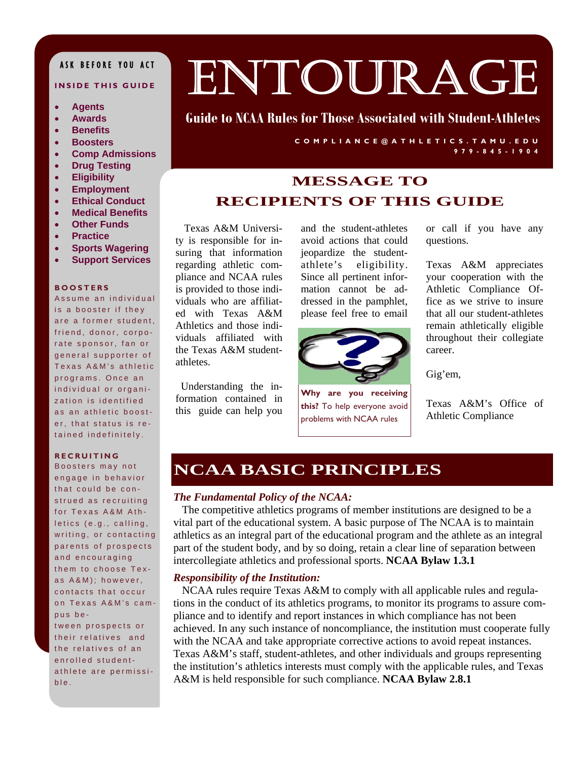## ASK BEFORE YOU ACT

#### **INSIDE THIS GUIDE**

- **Agents**
- **Awards**
- **Benefits**
- **Boosters**
- **Comp Admissions**
- **Drug Testing**
- **Eligibility**
- **Employment**
- **Ethical Conduct**
- **Medical Benefits**
- **Other Funds**
- **Practice**
- **Sports Wagering**
- **Support Services**

#### **BOOSTERS**

Assume an individual is a booster if they are a former student, friend, donor, corporate sponsor, fan or general supporter of Texas A&M's athletic programs. Once an individual or organization is identified as an athletic booster, that status is retained indefinitely.

#### **RECRUITING**

Boosters may not engage in behavior that could be construed as recruiting for Texas A&M Athletics (e.g., calling, writing, or contacting parents of prospects and encouraging them to choose Texas A&M); however, contacts that occur on Texas A&M's campus between prospects or their relatives and the relatives of an enrolled studentathlete are permissible.

# ENTOURAGE

## **Guide to NCAA Rules for Those Associated with Student-Athletes**

**COMPLIANCE@ATHLETICS.TAMU.EDU 979-845-1904** 

## **MESSAGE TO RECIPIENTS OF THIS GUIDE**

Texas A&M University is responsible for insuring that information regarding athletic compliance and NCAA rules is provided to those individuals who are affiliated with Texas A&M Athletics and those individuals affiliated with the Texas A&M studentathletes.

 Understanding the information contained in this guide can help you

and the student-athletes avoid actions that could jeopardize the studentathlete's eligibility. Since all pertinent information cannot be addressed in the pamphlet, please feel free to email



**Why are you receiving this?** To help everyone avoid problems with NCAA rules

or call if you have any questions.

Texas A&M appreciates your cooperation with the Athletic Compliance Office as we strive to insure that all our student-athletes remain athletically eligible throughout their collegiate career.

Gig'em,

Texas A&M's Office of Athletic Compliance

## **NCAA BASIC PRINCIPLES**

#### *The Fundamental Policy of the NCAA:*

 The competitive athletics programs of member institutions are designed to be a vital part of the educational system. A basic purpose of The NCAA is to maintain athletics as an integral part of the educational program and the athlete as an integral part of the student body, and by so doing, retain a clear line of separation between intercollegiate athletics and professional sports. **NCAA Bylaw 1.3.1**

#### *Responsibility of the Institution:*

 NCAA rules require Texas A&M to comply with all applicable rules and regulations in the conduct of its athletics programs, to monitor its programs to assure compliance and to identify and report instances in which compliance has not been achieved. In any such instance of noncompliance, the institution must cooperate fully with the NCAA and take appropriate corrective actions to avoid repeat instances. Texas A&M's staff, student-athletes, and other individuals and groups representing the institution's athletics interests must comply with the applicable rules, and Texas A&M is held responsible for such compliance. **NCAA Bylaw 2.8.1**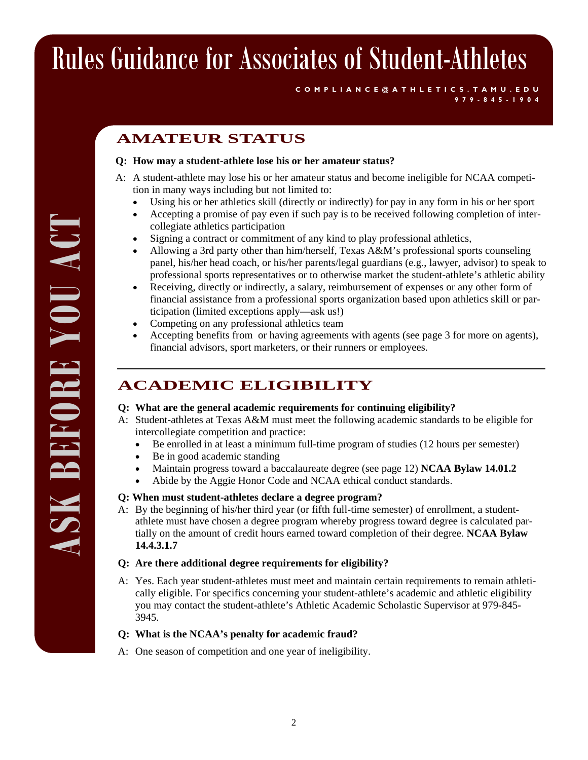**COMPLIANCE@ATHLETICS.TAMU.EDU 979-845-1904** 

## **AMATEUR STATUS**

### **Q: How may a student-athlete lose his or her amateur status?**

- A: A student-athlete may lose his or her amateur status and become ineligible for NCAA competition in many ways including but not limited to:
	- Using his or her athletics skill (directly or indirectly) for pay in any form in his or her sport
	- Accepting a promise of pay even if such pay is to be received following completion of intercollegiate athletics participation
	- Signing a contract or commitment of any kind to play professional athletics,
	- Allowing a 3rd party other than him/herself, Texas A&M's professional sports counseling panel, his/her head coach, or his/her parents/legal guardians (e.g., lawyer, advisor) to speak to professional sports representatives or to otherwise market the student-athlete's athletic ability
	- Receiving, directly or indirectly, a salary, reimbursement of expenses or any other form of financial assistance from a professional sports organization based upon athletics skill or participation (limited exceptions apply—ask us!)
	- Competing on any professional athletics team
	- Accepting benefits from or having agreements with agents (see page 3 for more on agents), financial advisors, sport marketers, or their runners or employees.

## **ACADEMIC ELIGIBILITY**

### **Q: What are the general academic requirements for continuing eligibility?**

- A: Student-athletes at Texas A&M must meet the following academic standards to be eligible for intercollegiate competition and practice:
	- Be enrolled in at least a minimum full-time program of studies (12 hours per semester)
	- Be in good academic standing
	- Maintain progress toward a baccalaureate degree (see page 12) **NCAA Bylaw 14.01.2**
	- Abide by the Aggie Honor Code and NCAA ethical conduct standards.

### **Q: When must student-athletes declare a degree program?**

A: By the beginning of his/her third year (or fifth full-time semester) of enrollment, a studentathlete must have chosen a degree program whereby progress toward degree is calculated partially on the amount of credit hours earned toward completion of their degree. **NCAA Bylaw 14.4.3.1.7** 

### **Q: Are there additional degree requirements for eligibility?**

A: Yes. Each year student-athletes must meet and maintain certain requirements to remain athletically eligible. For specifics concerning your student-athlete's academic and athletic eligibility you may contact the student-athlete's Athletic Academic Scholastic Supervisor at 979-845- 3945.

### **Q: What is the NCAA's penalty for academic fraud?**

A: One season of competition and one year of ineligibility.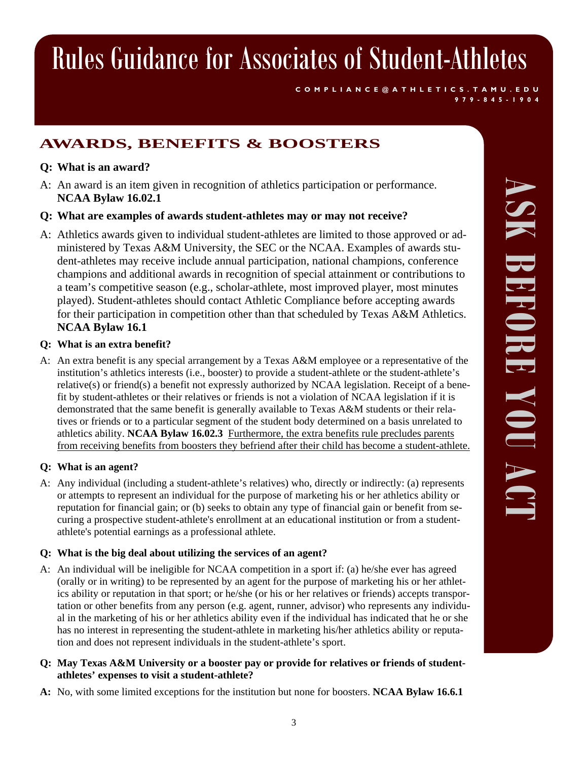**COMPLIANCE@ATHLETICS.TAMU.EDU** 

## **AWARDS, BENEFITS & BOOSTERS**

## **Q: What is an award?**

- A: An award is an item given in recognition of athletics participation or performance.  **NCAA Bylaw 16.02.1**
- **Q: What are examples of awards student-athletes may or may not receive?**
- A: Athletics awards given to individual student-athletes are limited to those approved or administered by Texas A&M University, the SEC or the NCAA. Examples of awards student-athletes may receive include annual participation, national champions, conference champions and additional awards in recognition of special attainment or contributions to a team's competitive season (e.g., scholar-athlete, most improved player, most minutes played). Student-athletes should contact Athletic Compliance before accepting awards for their participation in competition other than that scheduled by Texas A&M Athletics. **NCAA Bylaw 16.1**

### **Q: What is an extra benefit?**

A: An extra benefit is any special arrangement by a Texas A&M employee or a representative of the institution's athletics interests (i.e., booster) to provide a student-athlete or the student-athlete's relative(s) or friend(s) a benefit not expressly authorized by NCAA legislation. Receipt of a benefit by student-athletes or their relatives or friends is not a violation of NCAA legislation if it is demonstrated that the same benefit is generally available to Texas A&M students or their relatives or friends or to a particular segment of the student body determined on a basis unrelated to athletics ability. **NCAA Bylaw 16.02.3** Furthermore, the extra benefits rule precludes parents from receiving benefits from boosters they befriend after their child has become a student-athlete.

## **Q: What is an agent?**

A: Any individual (including a student-athlete's relatives) who, directly or indirectly: (a) represents or attempts to represent an individual for the purpose of marketing his or her athletics ability or reputation for financial gain; or (b) seeks to obtain any type of financial gain or benefit from securing a prospective student**-**athlete's enrollment at an educational institution or from a studentathlete's potential earnings as a professional athlete.

## **Q: What is the big deal about utilizing the services of an agent?**

A: An individual will be ineligible for NCAA competition in a sport if: (a) he/she ever has agreed (orally or in writing) to be represented by an agent for the purpose of marketing his or her athletics ability or reputation in that sport; or he/she (or his or her relatives or friends) accepts transportation or other benefits from any person (e.g. agent, runner, advisor) who represents any individual in the marketing of his or her athletics ability even if the individual has indicated that he or she has no interest in representing the student-athlete in marketing his/her athletics ability or reputation and does not represent individuals in the student-athlete's sport.

### **Q: May Texas A&M University or a booster pay or provide for relatives or friends of studentathletes' expenses to visit a student-athlete?**

**A:** No, with some limited exceptions for the institution but none for boosters. **NCAA Bylaw 16.6.1** 

**979-845-1904**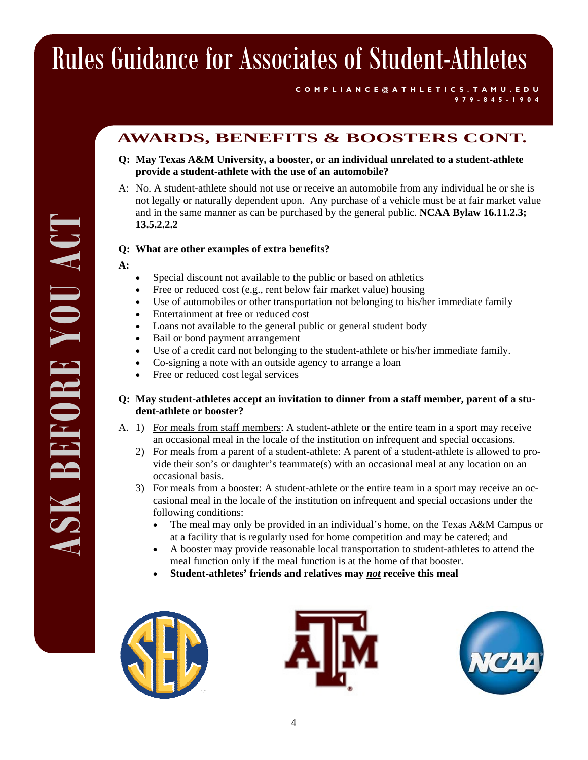#### **COMPLIANCE@ATHLETICS.TAMU.EDU 979-845-1904**

## **AWARDS, BENEFITS & BOOSTERS CONT.**

- **Q: May Texas A&M University, a booster, or an individual unrelated to a student-athlete provide a student-athlete with the use of an automobile?**
- A: No. A student-athlete should not use or receive an automobile from any individual he or she is not legally or naturally dependent upon. Any purchase of a vehicle must be at fair market value and in the same manner as can be purchased by the general public. **NCAA Bylaw 16.11.2.3; 13.5.2.2.2**

### **Q: What are other examples of extra benefits?**

- **A:**
- Special discount not available to the public or based on athletics
- Free or reduced cost (e.g., rent below fair market value) housing
- Use of automobiles or other transportation not belonging to his/her immediate family
- Entertainment at free or reduced cost
- Loans not available to the general public or general student body
- Bail or bond payment arrangement
- Use of a credit card not belonging to the student-athlete or his/her immediate family.
- Co-signing a note with an outside agency to arrange a loan
- Free or reduced cost legal services

### **Q: May student-athletes accept an invitation to dinner from a staff member, parent of a student-athlete or booster?**

- A. 1) For meals from staff members: A student-athlete or the entire team in a sport may receive an occasional meal in the locale of the institution on infrequent and special occasions.
	- 2) For meals from a parent of a student-athlete: A parent of a student-athlete is allowed to provide their son's or daughter's teammate(s) with an occasional meal at any location on an occasional basis.
	- 3) For meals from a booster: A student-athlete or the entire team in a sport may receive an occasional meal in the locale of the institution on infrequent and special occasions under the following conditions:
		- The meal may only be provided in an individual's home, on the Texas A&M Campus or at a facility that is regularly used for home competition and may be catered; and
		- A booster may provide reasonable local transportation to student-athletes to attend the meal function only if the meal function is at the home of that booster.
		- **Student-athletes' friends and relatives may** *not* **receive this meal**





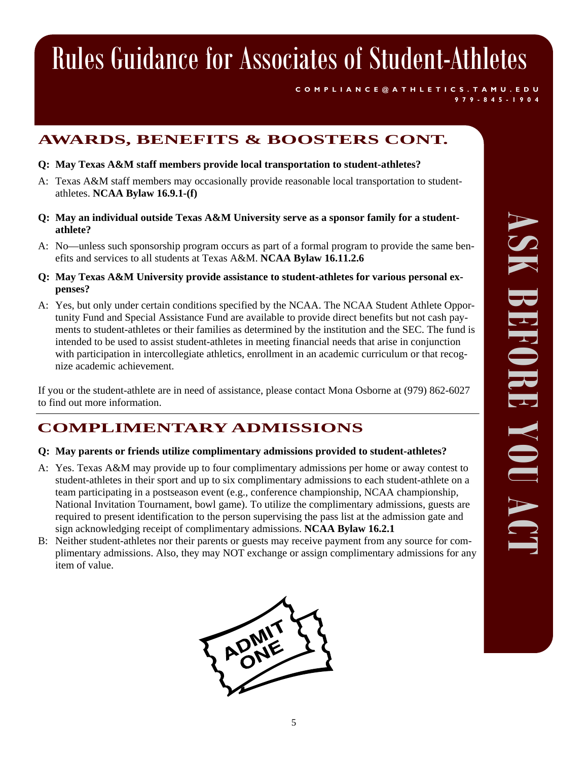**COMPLIANCE@ATHLETICS.TAMU.EDU 979-845-1904** 

## **AWARDS, BENEFITS & BOOSTERS CONT.**

- **Q: May Texas A&M staff members provide local transportation to student-athletes?**
- A: Texas A&M staff members may occasionally provide reasonable local transportation to studentathletes. **NCAA Bylaw 16.9.1-(f)**
- **Q: May an individual outside Texas A&M University serve as a sponsor family for a studentathlete?**
- A: No—unless such sponsorship program occurs as part of a formal program to provide the same benefits and services to all students at Texas A&M. **NCAA Bylaw 16.11.2.6**
- **Q: May Texas A&M University provide assistance to student-athletes for various personal expenses?**
- A: Yes, but only under certain conditions specified by the NCAA. The NCAA Student Athlete Opportunity Fund and Special Assistance Fund are available to provide direct benefits but not cash payments to student-athletes or their families as determined by the institution and the SEC. The fund is intended to be used to assist student-athletes in meeting financial needs that arise in conjunction with participation in intercollegiate athletics, enrollment in an academic curriculum or that recognize academic achievement.

If you or the student-athlete are in need of assistance, please contact Mona Osborne at (979) 862-6027 to find out more information.

## **COMPLIMENTARY ADMISSIONS**

### **Q: May parents or friends utilize complimentary admissions provided to student-athletes?**

- A: Yes. Texas A&M may provide up to four complimentary admissions per home or away contest to student-athletes in their sport and up to six complimentary admissions to each student-athlete on a team participating in a postseason event (e.g., conference championship, NCAA championship, National Invitation Tournament, bowl game). To utilize the complimentary admissions, guests are required to present identification to the person supervising the pass list at the admission gate and sign acknowledging receipt of complimentary admissions. **NCAA Bylaw 16.2.1**
- B: Neither student-athletes nor their parents or guests may receive payment from any source for complimentary admissions. Also, they may NOT exchange or assign complimentary admissions for any item of value.

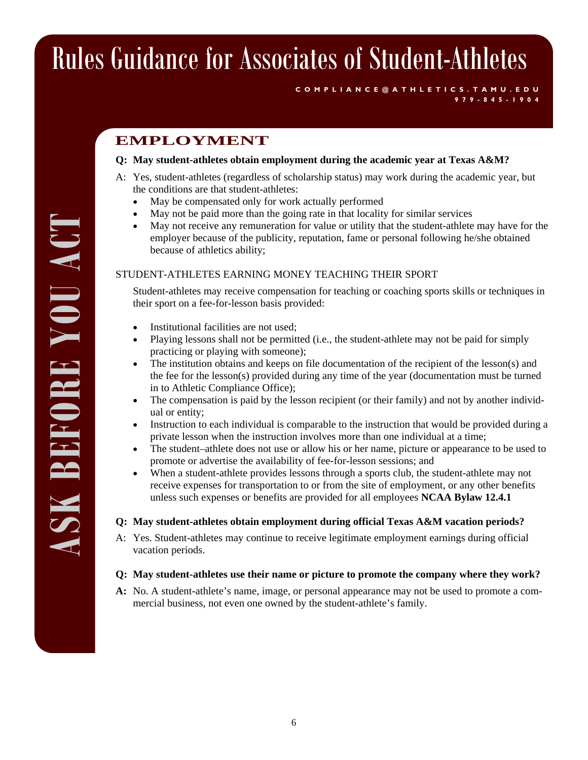## **EMPLOYMENT**

#### **Q: May student-athletes obtain employment during the academic year at Texas A&M?**

- A: Yes, student-athletes (regardless of scholarship status) may work during the academic year, but the conditions are that student-athletes:
	- May be compensated only for work actually performed
	- May not be paid more than the going rate in that locality for similar services
	- May not receive any remuneration for value or utility that the student-athlete may have for the employer because of the publicity, reputation, fame or personal following he/she obtained because of athletics ability;

**COMPLIANCE@ATHLETICS.TAMU.EDU** 

**979-845-1904** 

#### STUDENT-ATHLETES EARNING MONEY TEACHING THEIR SPORT

Student-athletes may receive compensation for teaching or coaching sports skills or techniques in their sport on a fee-for-lesson basis provided:

- Institutional facilities are not used;
- Playing lessons shall not be permitted (i.e., the student-athlete may not be paid for simply practicing or playing with someone);
- The institution obtains and keeps on file documentation of the recipient of the lesson(s) and the fee for the lesson(s) provided during any time of the year (documentation must be turned in to Athletic Compliance Office);
- The compensation is paid by the lesson recipient (or their family) and not by another individual or entity;
- Instruction to each individual is comparable to the instruction that would be provided during a private lesson when the instruction involves more than one individual at a time;
- The student–athlete does not use or allow his or her name, picture or appearance to be used to promote or advertise the availability of fee-for-lesson sessions; and
- When a student-athlete provides lessons through a sports club, the student-athlete may not receive expenses for transportation to or from the site of employment, or any other benefits unless such expenses or benefits are provided for all employees **NCAA Bylaw 12.4.1**

#### **Q: May student-athletes obtain employment during official Texas A&M vacation periods?**

A: Yes. Student-athletes may continue to receive legitimate employment earnings during official vacation periods.

#### **Q: May student-athletes use their name or picture to promote the company where they work?**

**A:** No. A student-athlete's name, image, or personal appearance may not be used to promote a commercial business, not even one owned by the student-athlete's family.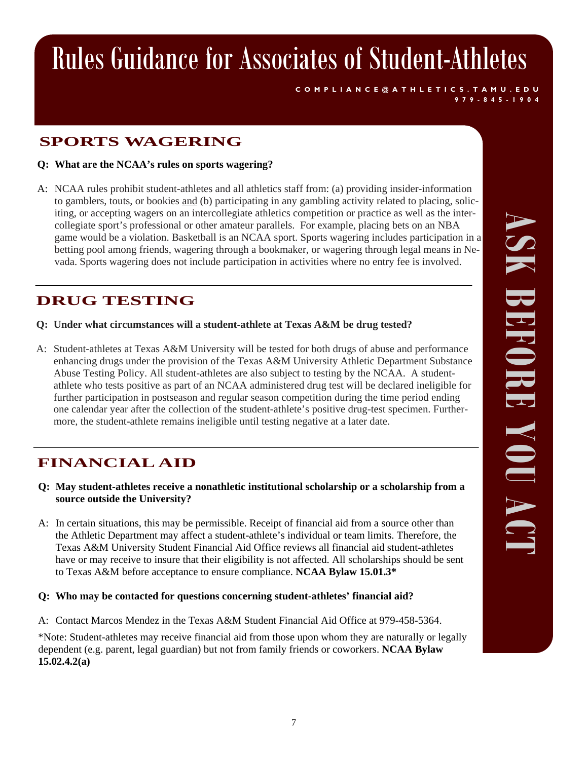**COMPLIANCE@ATHLETICS.TAMU.EDU** 

**979-845-1904** 

## **SPORTS WAGERING**

**Q: What are the NCAA's rules on sports wagering?** 

A: NCAA rules prohibit student-athletes and all athletics staff from: (a) providing insider-information to gamblers, touts, or bookies and (b) participating in any gambling activity related to placing, soliciting, or accepting wagers on an intercollegiate athletics competition or practice as well as the intercollegiate sport's professional or other amateur parallels. For example, placing bets on an NBA game would be a violation. Basketball is an NCAA sport. Sports wagering includes participation in a betting pool among friends, wagering through a bookmaker, or wagering through legal means in Nevada. Sports wagering does not include participation in activities where no entry fee is involved.

## **DRUG TESTING**

- **Q: Under what circumstances will a student-athlete at Texas A&M be drug tested?**
- A: Student-athletes at Texas A&M University will be tested for both drugs of abuse and performance enhancing drugs under the provision of the Texas A&M University Athletic Department Substance Abuse Testing Policy. All student-athletes are also subject to testing by the NCAA. A studentathlete who tests positive as part of an NCAA administered drug test will be declared ineligible for further participation in postseason and regular season competition during the time period ending one calendar year after the collection of the student-athlete's positive drug-test specimen. Furthermore, the student-athlete remains ineligible until testing negative at a later date.

## **FINANCIAL AID**

- **Q: May student-athletes receive a nonathletic institutional scholarship or a scholarship from a source outside the University?**
- A: In certain situations, this may be permissible. Receipt of financial aid from a source other than the Athletic Department may affect a student-athlete's individual or team limits. Therefore, the Texas A&M University Student Financial Aid Office reviews all financial aid student-athletes have or may receive to insure that their eligibility is not affected. All scholarships should be sent to Texas A&M before acceptance to ensure compliance. **NCAA Bylaw 15.01.3\***

### **Q: Who may be contacted for questions concerning student-athletes' financial aid?**

A: Contact Marcos Mendez in the Texas A&M Student Financial Aid Office at 979-458-5364.

\*Note: Student-athletes may receive financial aid from those upon whom they are naturally or legally dependent (e.g. parent, legal guardian) but not from family friends or coworkers. **NCAA Bylaw 15.02.4.2(a)**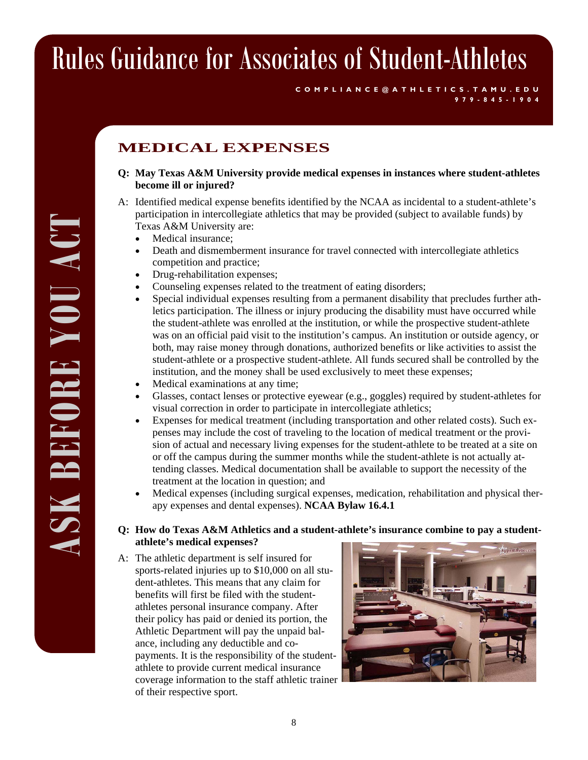## **MEDICAL EXPENSES**

**Q: May Texas A&M University provide medical expenses in instances where student-athletes become ill or injured?** 

**COMPLIANCE@ATHLETICS.TAMU.EDU** 

**979-845-1904** 

- A: Identified medical expense benefits identified by the NCAA as incidental to a student-athlete's participation in intercollegiate athletics that may be provided (subject to available funds) by Texas A&M University are:
	- Medical insurance:
	- Death and dismemberment insurance for travel connected with intercollegiate athletics competition and practice;
	- Drug-rehabilitation expenses;
	- Counseling expenses related to the treatment of eating disorders;
	- Special individual expenses resulting from a permanent disability that precludes further athletics participation. The illness or injury producing the disability must have occurred while the student-athlete was enrolled at the institution, or while the prospective student-athlete was on an official paid visit to the institution's campus. An institution or outside agency, or both, may raise money through donations, authorized benefits or like activities to assist the student-athlete or a prospective student-athlete. All funds secured shall be controlled by the institution, and the money shall be used exclusively to meet these expenses;
	- Medical examinations at any time;
	- Glasses, contact lenses or protective eyewear (e.g., goggles) required by student-athletes for visual correction in order to participate in intercollegiate athletics;
	- Expenses for medical treatment (including transportation and other related costs). Such expenses may include the cost of traveling to the location of medical treatment or the provision of actual and necessary living expenses for the student-athlete to be treated at a site on or off the campus during the summer months while the student-athlete is not actually attending classes. Medical documentation shall be available to support the necessity of the treatment at the location in question; and
	- Medical expenses (including surgical expenses, medication, rehabilitation and physical therapy expenses and dental expenses). **NCAA Bylaw 16.4.1**

#### **Q: How do Texas A&M Athletics and a student-athlete's insurance combine to pay a studentathlete's medical expenses?**

A: The athletic department is self insured for sports-related injuries up to \$10,000 on all student-athletes. This means that any claim for benefits will first be filed with the studentathletes personal insurance company. After their policy has paid or denied its portion, the Athletic Department will pay the unpaid balance, including any deductible and copayments. It is the responsibility of the studentathlete to provide current medical insurance coverage information to the staff athletic trainer of their respective sport.

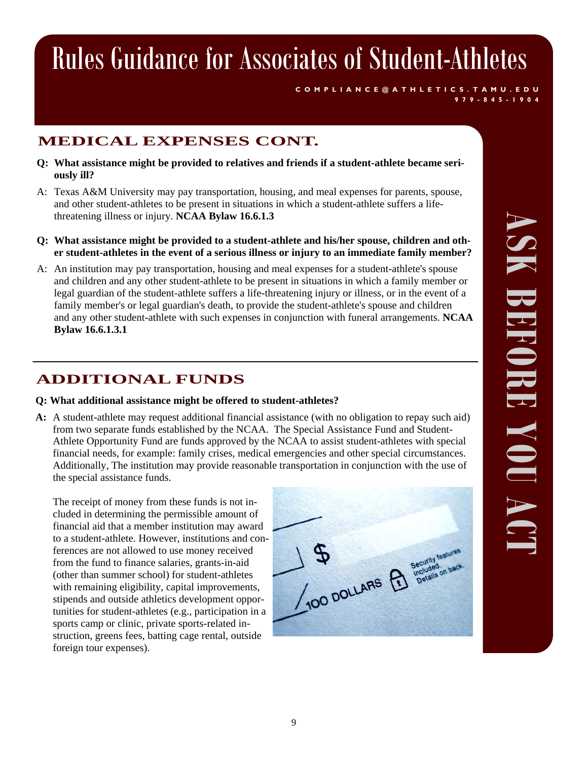**COMPLIANCE@ATHLETICS.TAMU.EDU** 

**979-845-1904** 

## **MEDICAL EXPENSES CONT.**

- **Q: What assistance might be provided to relatives and friends if a student-athlete became seriously ill?**
- A: Texas A&M University may pay transportation, housing, and meal expenses for parents, spouse, and other student-athletes to be present in situations in which a student-athlete suffers a lifethreatening illness or injury. **NCAA Bylaw 16.6.1.3**
- **Q: What assistance might be provided to a student-athlete and his/her spouse, children and other student-athletes in the event of a serious illness or injury to an immediate family member?**
- A: An institution may pay transportation, housing and meal expenses for a student-athlete's spouse and children and any other student-athlete to be present in situations in which a family member or legal guardian of the student-athlete suffers a life-threatening injury or illness, or in the event of a family member's or legal guardian's death, to provide the student-athlete's spouse and children and any other student-athlete with such expenses in conjunction with funeral arrangements. **NCAA Bylaw 16.6.1.3.1**

## **ADDITIONAL FUNDS**

### **Q: What additional assistance might be offered to student-athletes?**

**A:** A student-athlete may request additional financial assistance (with no obligation to repay such aid) from two separate funds established by the NCAA. The Special Assistance Fund and Student-Athlete Opportunity Fund are funds approved by the NCAA to assist student-athletes with special financial needs, for example: family crises, medical emergencies and other special circumstances. Additionally, The institution may provide reasonable transportation in conjunction with the use of the special assistance funds.

The receipt of money from these funds is not included in determining the permissible amount of financial aid that a member institution may award to a student-athlete. However, institutions and conferences are not allowed to use money received from the fund to finance salaries, grants-in-aid (other than summer school) for student-athletes with remaining eligibility, capital improvements, stipends and outside athletics development opportunities for student-athletes (e.g., participation in a sports camp or clinic, private sports-related instruction, greens fees, batting cage rental, outside foreign tour expenses).

100 DOLLARS R Security leader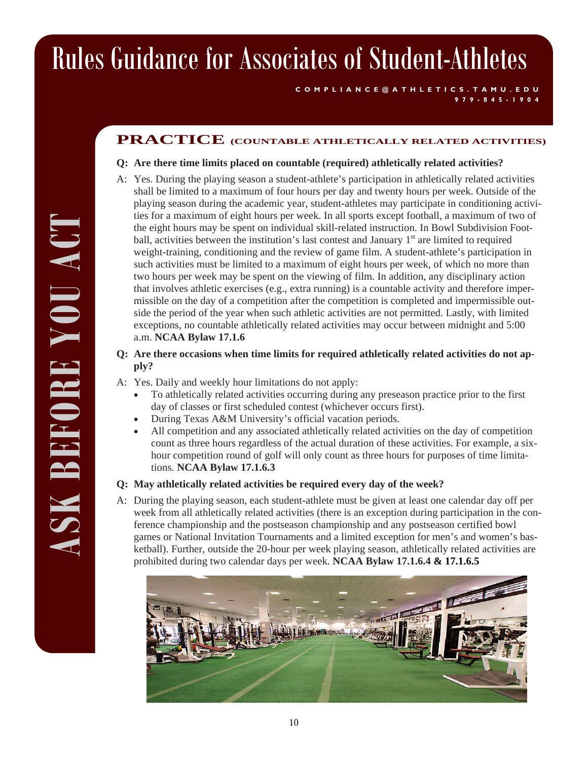#### **COMPLIANCE@ATHLETICS.TAMU.EDU 979-845-1904**

## **PRACTICE (COUNTABLE ATHLETICALLY RELATED ACTIVITIES)**

#### **Q: Are there time limits placed on countable (required) athletically related activities?**

- A: Yes. During the playing season a student-athlete's participation in athletically related activities shall be limited to a maximum of four hours per day and twenty hours per week. Outside of the playing season during the academic year, student-athletes may participate in conditioning activities for a maximum of eight hours per week. In all sports except football, a maximum of two of the eight hours may be spent on individual skill-related instruction. In Bowl Subdivision Football, activities between the institution's last contest and January  $1<sup>st</sup>$  are limited to required weight-training, conditioning and the review of game film. A student-athlete's participation in such activities must be limited to a maximum of eight hours per week, of which no more than two hours per week may be spent on the viewing of film. In addition, any disciplinary action that involves athletic exercises (e.g., extra running) is a countable activity and therefore impermissible on the day of a competition after the competition is completed and impermissible outside the period of the year when such athletic activities are not permitted. Lastly, with limited exceptions, no countable athletically related activities may occur between midnight and 5:00 a.m. **NCAA Bylaw 17.1.6**
- **Q: Are there occasions when time limits for required athletically related activities do not apply?**
- A: Yes. Daily and weekly hour limitations do not apply:
	- To athletically related activities occurring during any preseason practice prior to the first day of classes or first scheduled contest (whichever occurs first).
	- During Texas A&M University's official vacation periods.
	- All competition and any associated athletically related activities on the day of competition count as three hours regardless of the actual duration of these activities. For example, a sixhour competition round of golf will only count as three hours for purposes of time limitations. **NCAA Bylaw 17.1.6.3**

#### **Q: May athletically related activities be required every day of the week?**

A: During the playing season, each student-athlete must be given at least one calendar day off per week from all athletically related activities (there is an exception during participation in the conference championship and the postseason championship and any postseason certified bowl games or National Invitation Tournaments and a limited exception for men's and women's basketball). Further, outside the 20-hour per week playing season, athletically related activities are prohibited during two calendar days per week. **NCAA Bylaw 17.1.6.4 & 17.1.6.5** 

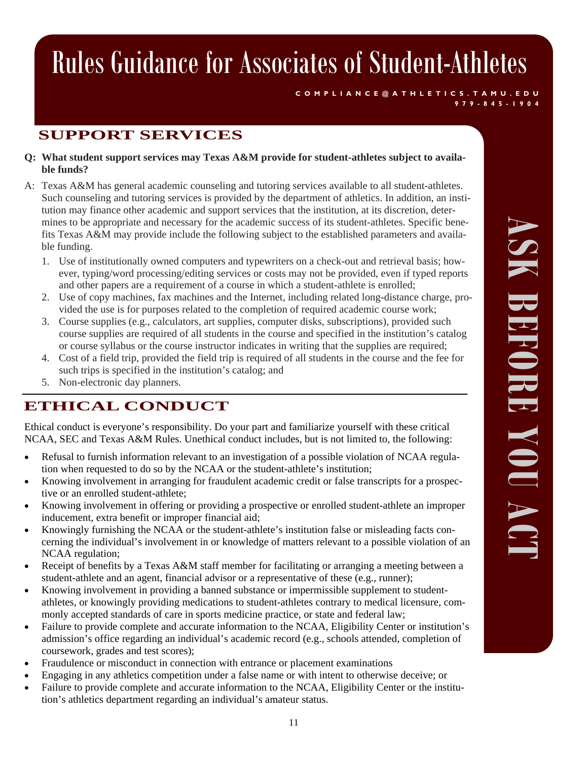**COMPLIANCE@ATHLETICS.TAMU.EDU 979-845-1904** 

## **SUPPORT SERVICES**

- **Q: What student support services may Texas A&M provide for student-athletes subject to available funds?**
- A: Texas A&M has general academic counseling and tutoring services available to all student-athletes. Such counseling and tutoring services is provided by the department of athletics. In addition, an institution may finance other academic and support services that the institution, at its discretion, determines to be appropriate and necessary for the academic success of its student-athletes. Specific benefits Texas A&M may provide include the following subject to the established parameters and available funding.
	- 1. Use of institutionally owned computers and typewriters on a check-out and retrieval basis; however, typing/word processing/editing services or costs may not be provided, even if typed reports and other papers are a requirement of a course in which a student-athlete is enrolled;
	- 2. Use of copy machines, fax machines and the Internet, including related long-distance charge, provided the use is for purposes related to the completion of required academic course work;
	- 3. Course supplies (e.g., calculators, art supplies, computer disks, subscriptions), provided such course supplies are required of all students in the course and specified in the institution's catalog or course syllabus or the course instructor indicates in writing that the supplies are required;
	- 4. Cost of a field trip, provided the field trip is required of all students in the course and the fee for such trips is specified in the institution's catalog; and
	- 5. Non-electronic day planners.

## **ETHICAL CONDUCT**

Ethical conduct is everyone's responsibility. Do your part and familiarize yourself with these critical NCAA, SEC and Texas A&M Rules. Unethical conduct includes, but is not limited to, the following:

- Refusal to furnish information relevant to an investigation of a possible violation of NCAA regulation when requested to do so by the NCAA or the student-athlete's institution;
- Knowing involvement in arranging for fraudulent academic credit or false transcripts for a prospective or an enrolled student-athlete;
- Knowing involvement in offering or providing a prospective or enrolled student-athlete an improper inducement, extra benefit or improper financial aid;
- Knowingly furnishing the NCAA or the student-athlete's institution false or misleading facts concerning the individual's involvement in or knowledge of matters relevant to a possible violation of an NCAA regulation;
- Receipt of benefits by a Texas A&M staff member for facilitating or arranging a meeting between a student-athlete and an agent, financial advisor or a representative of these (e.g., runner);
- Knowing involvement in providing a banned substance or impermissible supplement to studentathletes, or knowingly providing medications to student-athletes contrary to medical licensure, commonly accepted standards of care in sports medicine practice, or state and federal law;
- Failure to provide complete and accurate information to the NCAA, Eligibility Center or institution's admission's office regarding an individual's academic record (e.g., schools attended, completion of coursework, grades and test scores);
- Fraudulence or misconduct in connection with entrance or placement examinations
- Engaging in any athletics competition under a false name or with intent to otherwise deceive; or
- Failure to provide complete and accurate information to the NCAA, Eligibility Center or the institution's athletics department regarding an individual's amateur status.